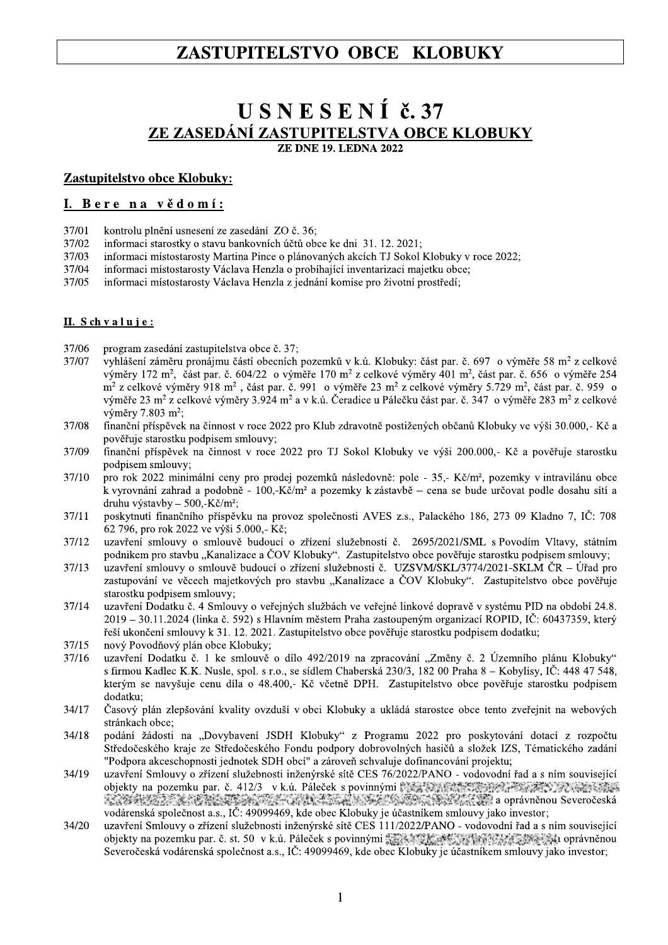## ZASTUPITELSTVO OBCE KLOBUKY

# USNESENÍ č. 37 ZE ZASEDÁNÍ ZASTUPITELSTVA OBCE KLOBUKY

**ZE DNE 19. LEDNA 2022** 

#### Zastupitelstvo obce Klobuky:

### I. Bere na vědomí:

- 37/01 kontrolu plnění usnesení ze zasedání ZO č. 36;
- 37/02 informaci starostky o stavu bankovních účtů obce ke dni 31. 12. 2021;
- 37/03 informaci místostarosty Martina Pince o plánovaných akcích TJ Sokol Klobuky v roce 2022;
- 37/04 informaci místostarosty Václava Henzla o probíhající inventarizaci majetku obce;
- 37/05 informaci místostarosty Václava Henzla z jednání komise pro životní prostředí;

#### II. Schvaluje:

- 37/06 program zasedání zastupitelstva obce č. 37;
- vyhlášení záměru pronájmu částí obecních pozemků v k.ú. Klobuky: část par. č. 697 o výměře 58 m<sup>2</sup> z celkové 37/07 výměry 172 m<sup>2</sup>, část par. č. 604/22 o výměře 170 m<sup>2</sup> z celkové výměry 401 m<sup>2</sup>, část par. č. 656 o výměře 254 m<sup>2</sup> z celkové výměry 918 m<sup>2</sup>, část par. č. 991 o výměře 23 m<sup>2</sup> z celkové výměry 5.729 m<sup>2</sup>, část par. č. 959 o výměře 23 m<sup>2</sup> z celkové výměry 3.924 m<sup>2</sup> a v k.ú. Čeradice u Pálečku část par. č. 347 o výměře 283 m<sup>2</sup> z celkové výměry 7.803 m<sup>2</sup>:
- 37/08 finanční příspěvek na činnost v roce 2022 pro Klub zdravotně postižených občanů Klobuky ve výši 30.000,- Kč a pověřuje starostku podpisem smlouvy;
- 37/09 finanční příspěvek na činnost v roce 2022 pro TJ Sokol Klobuky ve výši 200.000,- Kč a pověřuje starostku podpisem smlouvy;
- 37/10 pro rok 2022 minimální ceny pro prodej pozemků následovně: pole - 35,- Kč/m<sup>2</sup>, pozemky v intravilánu obce k vyrovnání zahrad a podobně - 100,-Kč/m<sup>2</sup> a pozemky k zástavbě – cena se bude určovat podle dosahu sítí a druhu výstavby - 500,-Kč/m<sup>2</sup>;
- 37/11 poskytnutí finančního příspěvku na provoz společnosti AVES z.s., Palackého 186, 273 09 Kladno 7, IČ: 708 62 796, pro rok 2022 ve výši 5.000, Kč;
- 37/12 uzavření smlouvy o smlouvě budoucí o zřízení služebnosti č. 2695/2021/SML s Povodím Vltavy, státním podnikem pro stavbu "Kanalizace a ČOV Klobuky". Zastupitelstvo obce pověřuje starostku podpisem smlouvy;
- 37/13 uzavření smlouvy o smlouvě budoucí o zřízení služebnosti č. UZSVM/SKL/3774/2021-SKLM ČR – Úřad pro zastupování ve věcech majetkových pro stavbu "Kanalizace a ČOV Klobuky". Zastupitelstvo obce pověřuje starostku podpisem smlouvy;
- 37/14 uzavření Dodatku č. 4 Smlouvy o veřejných službách ve veřejné linkové dopravě v systému PID na období 24.8. 2019 – 30.11.2024 (linka č. 592) s Hlavním městem Praha zastoupeným organizací ROPID, IČ: 60437359, který řeší ukončení smlouvy k 31. 12. 2021. Zastupitelstvo obce pověřuje starostku podpisem dodatku;
- nový Povodňový plán obce Klobuky; 37/15
- uzavření Dodatku č. 1 ke smlouvě o dílo 492/2019 na zpracování "Změny č. 2 Územního plánu Klobuky" 37/16 s firmou Kadlec K.K. Nusle, spol. s r.o., se sídlem Chaberská 230/3, 182 00 Praha 8 – Kobylisy, IČ: 448 47 548, kterým se navyšuje cenu díla o 48.400,- Kč včetně DPH. Zastupitelstvo obce pověřuje starostku podpisem dodatku:
- Časový plán zlepšování kvality ovzduší v obci Klobuky a ukládá starostce obce tento zveřejnit na webových 34/17 stránkach obce;
- $34/18$ podání žádosti na "Dovybavení JSDH Klobuky" z Programu 2022 pro poskytování dotací z rozpočtu Středočeského kraje ze Středočeského Fondu podpory dobrovolných hasičů a složek IZS, Tématického zadání "Podpora akceschopnosti jednotek SDH obcí" a zároveň schvaluje dofinancování projektu;
- uzavření Smlouvy o zřízení služebnosti inženýrské sítě CES 76/2022/PANO vodovodní řad a s ním související 34/19 objekty na pozemku par. č. 412/3 v k.ú. Páleček s povinnými s za predstavní pod Postav po pozemku par. č. 412/3 v k.ú. and the process of the company of the company of the company of the company of the company of the company of the company of the company of the company of the company of the company of the company of the company of the comp vodárenská společnost a.s., IČ: 49099469, kde obec Klobuky je účastníkem smlouvy jako investor;
- 34/20 uzavření Smlouvy o zřízení služebnosti inženýrské sítě CES 111/2022/PANO - vodovodní řad a s ním související objekty na pozemku par. č. st. 50 v k.ú. Páleček s povinnými szák kongresi prostavne na pozemku právněnou Severočeská vodárenská společnost a.s., IČ: 49099469, kde obec Klobuky je účastníkem smlouvy jako investor;